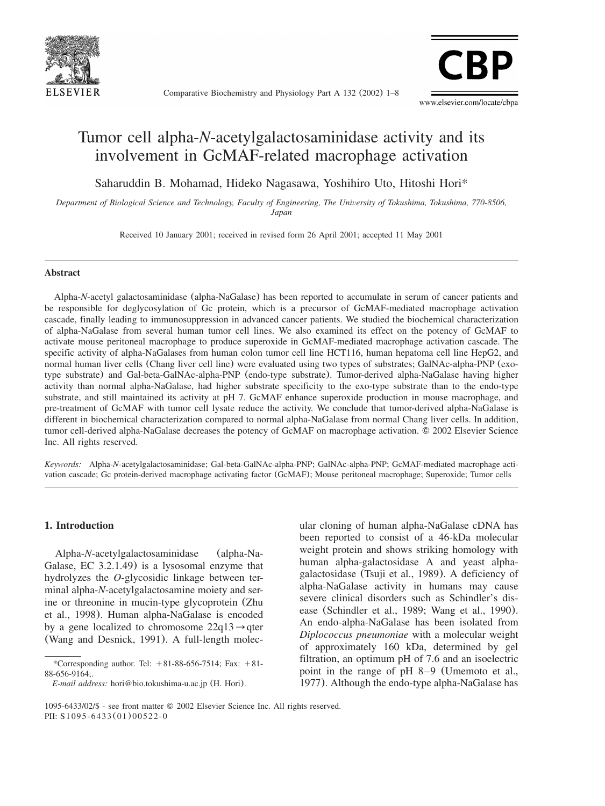

Comparative Biochemistry and Physiology Part A 132 (2002) 1–8



# Tumor cell alpha-*N*-acetylgalactosaminidase activity and its involvement in GcMAF-related macrophage activation

Saharuddin B. Mohamad, Hideko Nagasawa, Yoshihiro Uto, Hitoshi Hori\*

*Department of Biological Science and Technology, Faculty of Engineering, The University of Tokushima, Tokushima, 770-8506, Japan*

Received 10 January 2001; received in revised form 26 April 2001; accepted 11 May 2001

#### **Abstract**

Alpha-*N*-acetyl galactosaminidase (alpha-NaGalase) has been reported to accumulate in serum of cancer patients and be responsible for deglycosylation of Gc protein, which is a precursor of GcMAF-mediated macrophage activation cascade, finally leading to immunosuppression in advanced cancer patients. We studied the biochemical characterization of alpha-NaGalase from several human tumor cell lines. We also examined its effect on the potency of GcMAF to activate mouse peritoneal macrophage to produce superoxide in GcMAF-mediated macrophage activation cascade. The specific activity of alpha-NaGalases from human colon tumor cell line HCT116, human hepatoma cell line HepG2, and normal human liver cells (Chang liver cell line) were evaluated using two types of substrates; GalNAc-alpha-PNP (exotype substrate) and Gal-beta-GalNAc-alpha-PNP (endo-type substrate). Tumor-derived alpha-NaGalase having higher activity than normal alpha-NaGalase, had higher substrate specificity to the exo-type substrate than to the endo-type substrate, and still maintained its activity at pH 7. GcMAF enhance superoxide production in mouse macrophage, and pre-treatment of GcMAF with tumor cell lysate reduce the activity. We conclude that tumor-derived alpha-NaGalase is different in biochemical characterization compared to normal alpha-NaGalase from normal Chang liver cells. In addition, tumor cell-derived alpha-NaGalase decreases the potency of GcMAF on macrophage activation. © 2002 Elsevier Science Inc. All rights reserved.

*Keywords:* Alpha-*N*-acetylgalactosaminidase; Gal-beta-GalNAc-alpha-PNP; GalNAc-alpha-PNP; GcMAF-mediated macrophage activation cascade; Gc protein-derived macrophage activating factor (GcMAF); Mouse peritoneal macrophage; Superoxide; Tumor cells

#### **1. Introduction**

Alpha-*N*-acetylgalactosaminidase (alpha-Na-Galase, EC 3.2.1.49) is a lysosomal enzyme that hydrolyzes the *O*-glycosidic linkage between terminal alpha-*N*-acetylgalactosamine moiety and serine or threonine in mucin-type glycoprotein ([Zhu](#page-7-0) [et al., 1998](#page-7-0)). Human alpha-NaGalase is encoded by a gene localized to chromosome  $22q13 \rightarrow qter$ ([Wang and Desnick, 1991](#page-6-0)). A full-length molecular cloning of human alpha-NaGalase cDNA has been reported to consist of a 46-kDa molecular weight protein and shows striking homology with human alpha-galactosidase A and yeast alphagalactosidase ([Tsuji et al., 1989](#page-6-0)). A deficiency of alpha-NaGalase activity in humans may cause severe clinical disorders such as Schindler's disease ([Schindler et al., 1989; Wang et al., 1990](#page-6-0)). An endo-alpha-NaGalase has been isolated from *Diplococcus pneumoniae* with a molecular weight of approximately 160 kDa, determined by gel filtration, an optimum pH of 7.6 and an isoelectric point in the range of pH 8–9 ([Umemoto et al.,](#page-6-0) [1977](#page-6-0)). Although the endo-type alpha-NaGalase has

<sup>\*</sup>Corresponding author. Tel:  $+81-88-656-7514$ ; Fax:  $+81-$ 88-656-9164;.

*E-mail address:* hori@bio.tokushima-u.ac.jp (H. Hori).

<sup>1095-6433/02/\$ -</sup> see front matter 2002 Elsevier Science Inc. All rights reserved. PII: S1095-6433(01)00522-0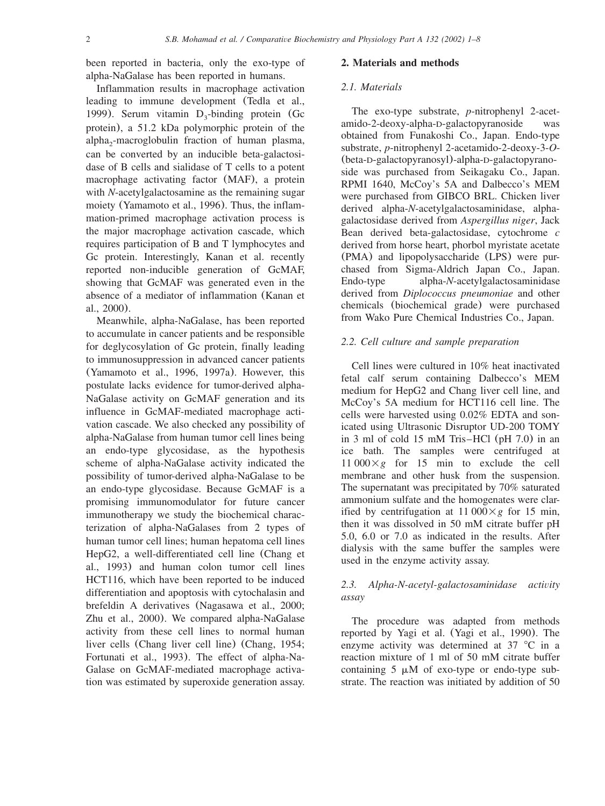been reported in bacteria, only the exo-type of alpha-NaGalase has been reported in humans.

Inflammation results in macrophage activation leading to immune development ([Tedla et al.,](#page-6-0) [1999](#page-6-0)). Serum vitamin  $D_3$ -binding protein (Gc protein), a 51.2 kDa polymorphic protein of the alpha<sub>2</sub>-macroglobulin fraction of human plasma, can be converted by an inducible beta-galactosidase of B cells and sialidase of T cells to a potent macrophage activating factor (MAF), a protein with *N*-acetylgalactosamine as the remaining sugar moiety ([Yamamoto et al., 1996](#page-6-0)). Thus, the inflammation-primed macrophage activation process is the major macrophage activation cascade, which requires participation of B and T lymphocytes and Gc protein. Interestingly, Kanan et al. recently reported non-inducible generation of GcMAF, showing that GcMAF was generated even in the absence of a mediator of inflammation ([Kanan et](#page-6-0) [al., 2000](#page-6-0)).

Meanwhile, alpha-NaGalase, has been reported to accumulate in cancer patients and be responsible for deglycosylation of Gc protein, finally leading to immunosuppression in advanced cancer patients ([Yamamoto et al., 1996, 1997a](#page-6-0)). However, this postulate lacks evidence for tumor-derived alpha-NaGalase activity on GcMAF generation and its influence in GcMAF-mediated macrophage activation cascade. We also checked any possibility of alpha-NaGalase from human tumor cell lines being an endo-type glycosidase, as the hypothesis scheme of alpha-NaGalase activity indicated the possibility of tumor-derived alpha-NaGalase to be an endo-type glycosidase. Because GcMAF is a promising immunomodulator for future cancer immunotherapy we study the biochemical characterization of alpha-NaGalases from 2 types of human tumor cell lines; human hepatoma cell lines HepG2, a well-differentiated cell line ([Chang et](#page-6-0) [al., 1993](#page-6-0)) and human colon tumor cell lines HCT116, which have been reported to be induced differentiation and apoptosis with cytochalasin and brefeldin A derivatives ([Nagasawa et al., 2000;](#page-6-0) [Zhu et al., 2000](#page-6-0)). We compared alpha-NaGalase activity from these cell lines to normal human liver cells (Chang liver cell line) ([Chang, 1954;](#page-6-0) [Fortunati et al., 1993](#page-6-0)). The effect of alpha-Na-Galase on GcMAF-mediated macrophage activation was estimated by superoxide generation assay.

#### **2. Materials and methods**

#### *2.1. Materials*

The exo-type substrate, *p*-nitrophenyl 2-acetamido-2-deoxy-alpha-D-galactopyranoside was obtained from Funakoshi Co., Japan. Endo-type substrate, *p*-nitrophenyl 2-acetamido-2-deoxy-3-*O*- (beta-D-galactopyranosyl)-alpha-D-galactopyranoside was purchased from Seikagaku Co., Japan. RPMI 1640, McCoy's 5A and Dalbecco's MEM were purchased from GIBCO BRL. Chicken liver derived alpha-*N*-acetylgalactosaminidase, alphagalactosidase derived from *Aspergillus niger*, Jack Bean derived beta-galactosidase, cytochrome *c* derived from horse heart, phorbol myristate acetate (PMA) and lipopolysaccharide (LPS) were purchased from Sigma-Aldrich Japan Co., Japan. Endo-type alpha-*N*-acetylgalactosaminidase derived from *Diplococcus pneumoniae* and other chemicals (biochemical grade) were purchased from Wako Pure Chemical Industries Co., Japan.

## *2.2. Cell culture and sample preparation*

Cell lines were cultured in 10% heat inactivated fetal calf serum containing Dalbecco's MEM medium for HepG2 and Chang liver cell line, and McCoy's 5A medium for HCT116 cell line. The cells were harvested using 0.02% EDTA and sonicated using Ultrasonic Disruptor UD-200 TOMY in 3 ml of cold 15 mM Tris–HCl (pH 7.0) in an ice bath. The samples were centrifuged at  $11\,000\times g$  for 15 min to exclude the cell membrane and other husk from the suspension. The supernatant was precipitated by 70% saturated ammonium sulfate and the homogenates were clarified by centrifugation at  $11\,000\times g$  for 15 min, then it was dissolved in 50 mM citrate buffer pH 5.0, 6.0 or 7.0 as indicated in the results. After dialysis with the same buffer the samples were used in the enzyme activity assay.

## *2.3. Alpha-N-acetyl-galactosaminidase activity assay*

The procedure was adapted from methods reported by Yagi et al. ([Yagi et al., 1990](#page-6-0)). The enzyme activity was determined at  $37 \text{ °C}$  in a reaction mixture of 1 ml of 50 mM citrate buffer containing  $5 \mu M$  of exo-type or endo-type substrate. The reaction was initiated by addition of 50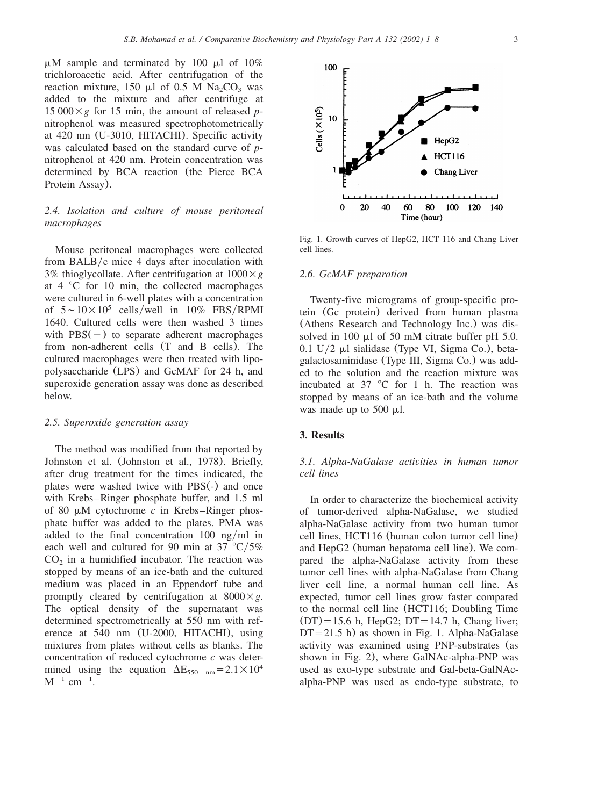$\mu$ M sample and terminated by 100  $\mu$ l of 10% trichloroacetic acid. After centrifugation of the reaction mixture, 150  $\mu$ l of 0.5 M Na<sub>2</sub>CO<sub>3</sub> was added to the mixture and after centrifuge at  $15\,000\times g$  for 15 min, the amount of released *p*nitrophenol was measured spectrophotometrically at 420 nm (U-3010, HITACHI). Specific activity was calculated based on the standard curve of *p*nitrophenol at 420 nm. Protein concentration was determined by BCA reaction (the Pierce BCA Protein Assay).

## *2.4. Isolation and culture of mouse peritoneal macrophages*

Mouse peritoneal macrophages were collected from BALB/ $c$  mice 4 days after inoculation with 3% thioglycollate. After centrifugation at  $1000 \times g$ at  $4 \degree$ C for 10 min, the collected macrophages were cultured in 6-well plates with a concentration of  $5 \sim 10 \times 10^5$  cells/well in 10% FBS/RPMI 1640. Cultured cells were then washed 3 times with  $PBS(-)$  to separate adherent macrophages from non-adherent cells (T and B cells). The cultured macrophages were then treated with lipopolysaccharide (LPS) and GcMAF for 24 h, and superoxide generation assay was done as described below.

#### *2.5. Superoxide generation assay*

The method was modified from that reported by Johnston et al. ([Johnston et al., 1978](#page-6-0)). Briefly, after drug treatment for the times indicated, the plates were washed twice with PBS(-) and once with Krebs–Ringer phosphate buffer, and 1.5 ml of 80  $\mu$ M cytochrome *c* in Krebs–Ringer phosphate buffer was added to the plates. PMA was added to the final concentration  $100 \text{ ng/ml}$  in each well and cultured for 90 min at 37  $\degree$ C/5%  $CO<sub>2</sub>$  in a humidified incubator. The reaction was stopped by means of an ice-bath and the cultured medium was placed in an Eppendorf tube and promptly cleared by centrifugation at  $8000 \times g$ . The optical density of the supernatant was determined spectrometrically at 550 nm with reference at 540 nm (U-2000, HITACHI), using mixtures from plates without cells as blanks. The concentration of reduced cytochrome *c* was determined using the equation  $\Delta E_{550 \text{ nm}}=2.1\times10^4$  $M^{-1}$  cm<sup>-1</sup>.



Fig. 1. Growth curves of HepG2, HCT 116 and Chang Liver cell lines.

#### *2.6. GcMAF preparation*

Twenty-five micrograms of group-specific protein (Gc protein) derived from human plasma (Athens Research and Technology Inc.) was dissolved in 100  $\mu$ l of 50 mM citrate buffer pH 5.0.  $0.1 \text{ U}/2 \mu$ l sialidase (Type VI, Sigma Co.), betagalactosaminidase (Type III, Sigma Co.) was added to the solution and the reaction mixture was incubated at  $37$  °C for 1 h. The reaction was stopped by means of an ice-bath and the volume was made up to  $500 \mu l$ .

#### **3. Results**

## *3.1. Alpha-NaGalase activities in human tumor cell lines*

In order to characterize the biochemical activity of tumor-derived alpha-NaGalase, we studied alpha-NaGalase activity from two human tumor cell lines, HCT116 (human colon tumor cell line) and HepG2 (human hepatoma cell line). We compared the alpha-NaGalase activity from these tumor cell lines with alpha-NaGalase from Chang liver cell line, a normal human cell line. As expected, tumor cell lines grow faster compared to the normal cell line (HCT116; Doubling Time  $(DT) = 15.6$  h, HepG2; DT = 14.7 h, Chang liver;  $DT = 21.5$  h) as shown in Fig. 1. Alpha-NaGalase activity was examined using PNP-substrates (as shown in [Fig. 2](#page-3-0)), where GalNAc-alpha-PNP was used as exo-type substrate and Gal-beta-GalNAcalpha-PNP was used as endo-type substrate, to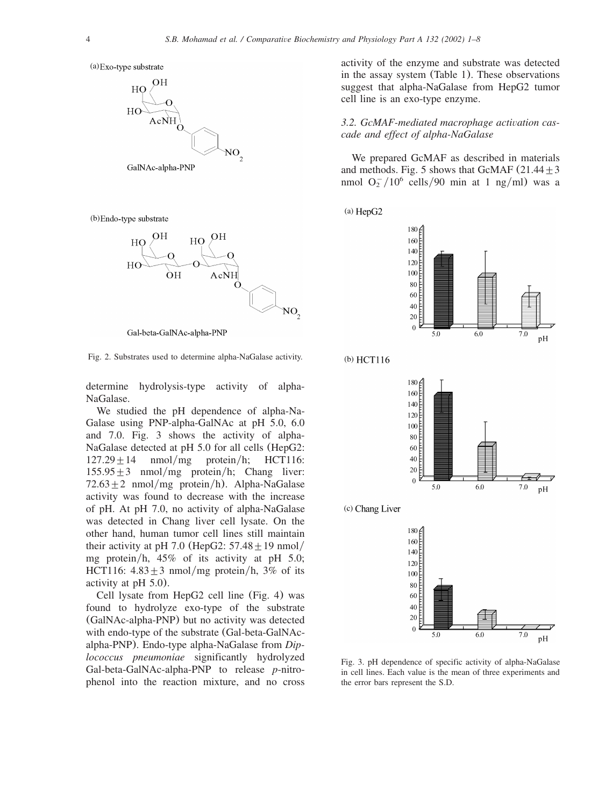<span id="page-3-0"></span>(a) Exo-type substrate



(b) Endo-type substrate



Gal-beta-GalNAc-alpha-PNP

Fig. 2. Substrates used to determine alpha-NaGalase activity.

determine hydrolysis-type activity of alpha-NaGalase.

We studied the pH dependence of alpha-Na-Galase using PNP-alpha-GalNAc at pH 5.0, 6.0 and 7.0. Fig. 3 shows the activity of alpha-NaGalase detected at pH 5.0 for all cells (HepG2:  $127.29 \pm 14$  nmol/mg protein/h; HCT116:  $155.95 \pm 3$  nmol/mg protein/h; Chang liver:  $72.63 \pm 2$  nmol/mg protein/h). Alpha-NaGalase activity was found to decrease with the increase of pH. At pH 7.0, no activity of alpha-NaGalase was detected in Chang liver cell lysate. On the other hand, human tumor cell lines still maintain their activity at pH 7.0 (HepG2:  $57.48 \pm 19$  nmol/ mg protein/h,  $45\%$  of its activity at pH 5.0; HCT116:  $4.83 \pm 3$  nmol/mg protein/h, 3% of its activity at pH 5.0).

Cell lysate from HepG2 cell line ([Fig. 4](#page-4-0)) was found to hydrolyze exo-type of the substrate (GalNAc-alpha-PNP) but no activity was detected with endo-type of the substrate (Gal-beta-GalNAcalpha-PNP). Endo-type alpha-NaGalase from *Diplococcus pneumoniae* significantly hydrolyzed Gal-beta-GalNAc-alpha-PNP to release *p*-nitrophenol into the reaction mixture, and no cross activity of the enzyme and substrate was detected in the assay system ([Table 1](#page-4-0)). These observations suggest that alpha-NaGalase from HepG2 tumor cell line is an exo-type enzyme.

*3.2. GcMAF-mediated macrophage activation cascade and effect of alpha-NaGalase*

We prepared GcMAF as described in materials and methods. [Fig. 5](#page-5-0) shows that GcMAF  $(21.44 \pm 3)$ nmol  $O_2^-/10^6$  cells/90 min at 1 ng/ml) was a

 $(a)$  HepG2











Fig. 3. pH dependence of specific activity of alpha-NaGalase in cell lines. Each value is the mean of three experiments and the error bars represent the S.D.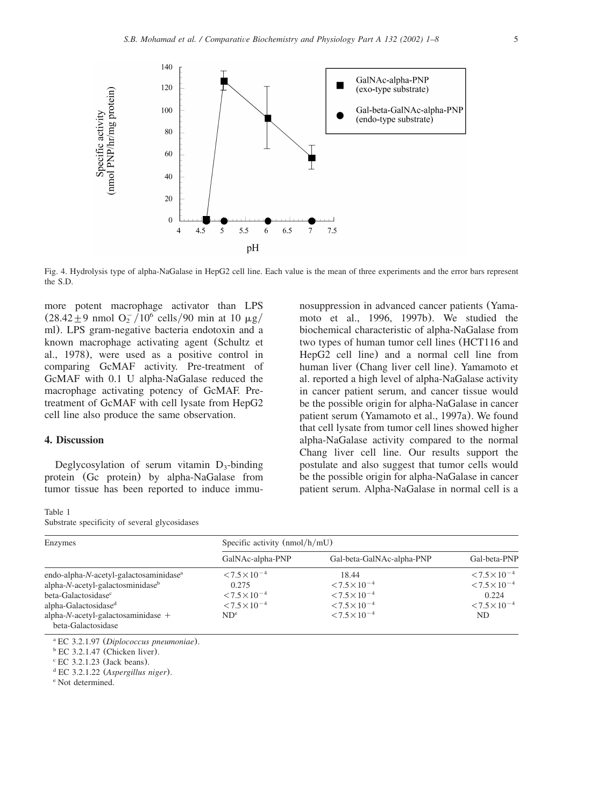<span id="page-4-0"></span>

Fig. 4. Hydrolysis type of alpha-NaGalase in HepG2 cell line. Each value is the mean of three experiments and the error bars represent the S.D.

more potent macrophage activator than LPS  $(28.42 \pm 9 \text{ nmol O}_2^{-10^6 \text{ cells}}/90 \text{ min at 10 }\mu\text{g})$ ml). LPS gram-negative bacteria endotoxin and a known macrophage activating agent ([Schultz et](#page-6-0) [al., 1978](#page-6-0)), were used as a positive control in comparing GcMAF activity. Pre-treatment of GcMAF with 0.1 U alpha-NaGalase reduced the macrophage activating potency of GcMAF. Pretreatment of GcMAF with cell lysate from HepG2 cell line also produce the same observation.

## **4. Discussion**

Deglycosylation of serum vitamin  $D_3$ -binding protein (Gc protein) by alpha-NaGalase from tumor tissue has been reported to induce immu-

#### Table 1

Substrate specificity of several glycosidases

nosuppression in advanced cancer patients ([Yama](#page-6-0)[moto et al., 1996, 1997b](#page-6-0)). We studied the biochemical characteristic of alpha-NaGalase from two types of human tumor cell lines (HCT116 and HepG2 cell line) and a normal cell line from human liver (Chang liver cell line). Yamamoto et al. reported a high level of alpha-NaGalase activity in cancer patient serum, and cancer tissue would be the possible origin for alpha-NaGalase in cancer patient serum ([Yamamoto et al., 1997a](#page-7-0)). We found that cell lysate from tumor cell lines showed higher alpha-NaGalase activity compared to the normal Chang liver cell line. Our results support the postulate and also suggest that tumor cells would be the possible origin for alpha-NaGalase in cancer patient serum. Alpha-NaGalase in normal cell is a

| Enzymes                                            | Specific activity $(nmol/h/mU)$ |                           |                        |
|----------------------------------------------------|---------------------------------|---------------------------|------------------------|
|                                                    | GalNAc-alpha-PNP                | Gal-beta-GalNAc-alpha-PNP | Gal-beta-PNP           |
| endo-alpha-N-acetyl-galactosaminidase <sup>a</sup> | $< 7.5 \times 10^{-4}$          | 18.44                     | $< 7.5 \times 10^{-4}$ |
| $alpha-N$ -acetyl-galactosminidase <sup>b</sup>    | 0.275                           | $< 7.5 \times 10^{-4}$    | $< 7.5 \times 10^{-4}$ |
| beta-Galactosidase <sup>c</sup>                    | $< 7.5 \times 10^{-4}$          | $< 7.5 \times 10^{-4}$    | 0.224                  |
| alpha-Galactosidase <sup>d</sup>                   | $< 7.5 \times 10^{-4}$          | $< 7.5 \times 10^{-4}$    | $< 7.5 \times 10^{-4}$ |
| alpha- $N$ -acetyl-galactosaminidase +             | ND <sup>e</sup>                 | $< 7.5 \times 10^{-4}$    | ND.                    |
| beta-Galactosidase                                 |                                 |                           |                        |

<sup>a</sup> EC 3.2.1.97 (*Diplococcus pneumoniae*).

 $b$  EC 3.2.1.47 (Chicken liver).

 $\rm{c}$  EC 3.2.1.23 (Jack beans).

<sup>d</sup> EC 3.2.1.22 (*Aspergillus niger*).

<sup>e</sup> Not determined.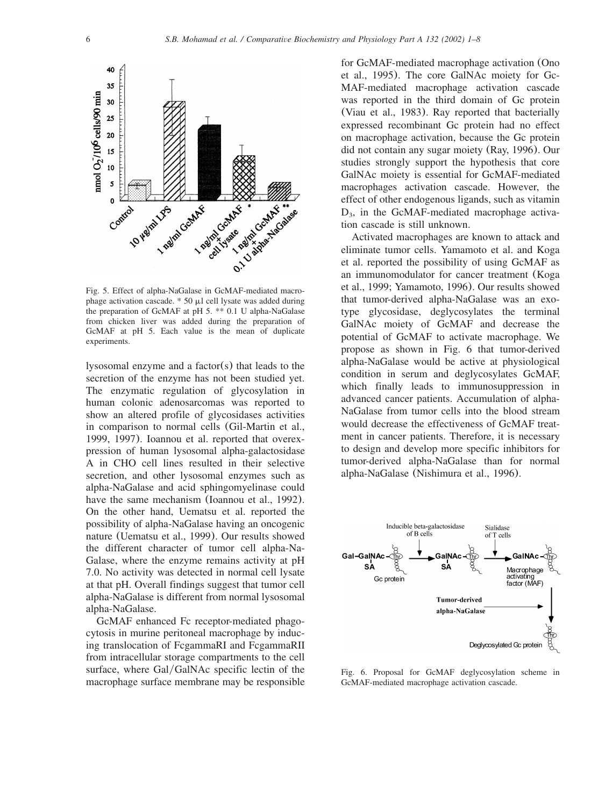<span id="page-5-0"></span>

Fig. 5. Effect of alpha-NaGalase in GcMAF-mediated macrophage activation cascade. \* 50  $\mu$ l cell lysate was added during the preparation of GcMAF at pH 5. \*\* 0.1 U alpha-NaGalase from chicken liver was added during the preparation of GcMAF at pH 5. Each value is the mean of duplicate experiments.

lysosomal enzyme and a factor(s) that leads to the secretion of the enzyme has not been studied yet. The enzymatic regulation of glycosylation in human colonic adenosarcomas was reported to show an altered profile of glycosidases activities in comparison to normal cells ([Gil-Martin et al.,](#page-6-0) [1999, 1997](#page-6-0)). Ioannou et al. reported that overexpression of human lysosomal alpha-galactosidase A in CHO cell lines resulted in their selective secretion, and other lysosomal enzymes such as alpha-NaGalase and acid sphingomyelinase could have the same mechanism ([Ioannou et al., 1992](#page-6-0)). On the other hand, Uematsu et al. reported the possibility of alpha-NaGalase having an oncogenic nature ([Uematsu et al., 1999](#page-6-0)). Our results showed the different character of tumor cell alpha-Na-Galase, where the enzyme remains activity at pH 7.0. No activity was detected in normal cell lysate at that pH. Overall findings suggest that tumor cell alpha-NaGalase is different from normal lysosomal alpha-NaGalase.

GcMAF enhanced Fc receptor-mediated phagocytosis in murine peritoneal macrophage by inducing translocation of FcgammaRI and FcgammaRII from intracellular storage compartments to the cell surface, where Gal/GalNAc specific lectin of the macrophage surface membrane may be responsible

for GcMAF-mediated macrophage activation ([Ono](#page-6-0) [et al., 1995](#page-6-0)). The core GalNAc moiety for Gc-MAF-mediated macrophage activation cascade was reported in the third domain of Gc protein ([Viau et al., 1983](#page-6-0)). Ray reported that bacterially expressed recombinant Gc protein had no effect on macrophage activation, because the Gc protein did not contain any sugar moiety ([Ray, 1996](#page-6-0)). Our studies strongly support the hypothesis that core GalNAc moiety is essential for GcMAF-mediated macrophages activation cascade. However, the effect of other endogenous ligands, such as vitamin  $D_3$ , in the GcMAF-mediated macrophage activation cascade is still unknown.

Activated macrophages are known to attack and eliminate tumor cells. Yamamoto et al. and Koga et al. reported the possibility of using GcMAF as an immunomodulator for cancer treatment ([Koga](#page-6-0) [et al., 1999; Yamamoto, 1996](#page-6-0)). Our results showed that tumor-derived alpha-NaGalase was an exotype glycosidase, deglycosylates the terminal GalNAc moiety of GcMAF and decrease the potential of GcMAF to activate macrophage. We propose as shown in Fig. 6 that tumor-derived alpha-NaGalase would be active at physiological condition in serum and deglycosylates GcMAF, which finally leads to immunosuppression in advanced cancer patients. Accumulation of alpha-NaGalase from tumor cells into the blood stream would decrease the effectiveness of GcMAF treatment in cancer patients. Therefore, it is necessary to design and develop more specific inhibitors for tumor-derived alpha-NaGalase than for normal alpha-NaGalase ([Nishimura et al., 1996](#page-6-0)).



Fig. 6. Proposal for GcMAF deglycosylation scheme in GcMAF-mediated macrophage activation cascade.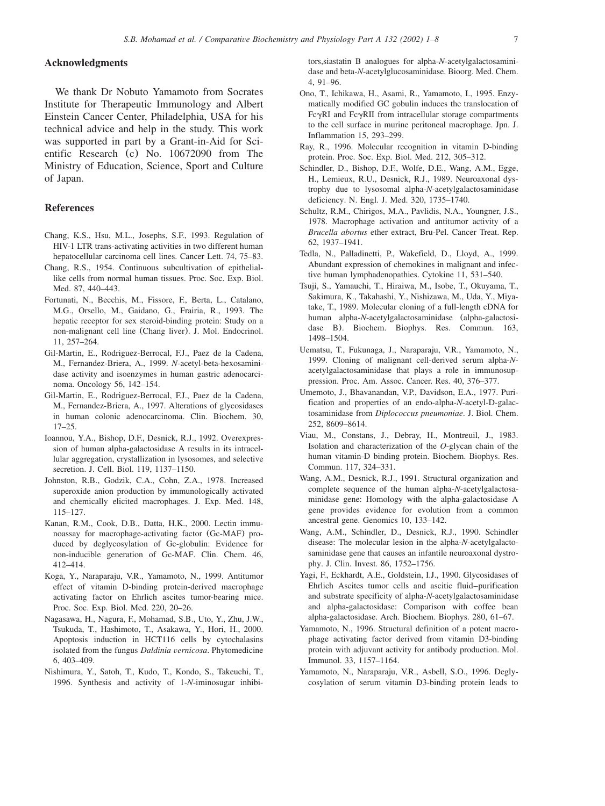### <span id="page-6-0"></span>**Acknowledgments**

We thank Dr Nobuto Yamamoto from Socrates Institute for Therapeutic Immunology and Albert Einstein Cancer Center, Philadelphia, USA for his technical advice and help in the study. This work was supported in part by a Grant-in-Aid for Scientific Research (c) No. 10672090 from The Ministry of Education, Science, Sport and Culture of Japan.

#### **References**

- Chang, K.S., Hsu, M.L., Josephs, S.F., 1993. Regulation of HIV-1 LTR trans-activating activities in two different human hepatocellular carcinoma cell lines. Cancer Lett. 74, 75–83.
- Chang, R.S., 1954. Continuous subcultivation of epitheliallike cells from normal human tissues. Proc. Soc. Exp. Biol. Med. 87, 440–443.
- Fortunati, N., Becchis, M., Fissore, F., Berta, L., Catalano, M.G., Orsello, M., Gaidano, G., Frairia, R., 1993. The hepatic receptor for sex steroid-binding protein: Study on a non-malignant cell line (Chang liver). J. Mol. Endocrinol. 11, 257–264.
- Gil-Martin, E., Rodriguez-Berrocal, F.J., Paez de la Cadena, M., Fernandez-Briera, A., 1999. *N*-acetyl-beta-hexosaminidase activity and isoenzymes in human gastric adenocarcinoma. Oncology 56, 142–154.
- Gil-Martin, E., Rodriguez-Berrocal, F.J., Paez de la Cadena, M., Fernandez-Briera, A., 1997. Alterations of glycosidases in human colonic adenocarcinoma. Clin. Biochem. 30, 17–25.
- Ioannou, Y.A., Bishop, D.F., Desnick, R.J., 1992. Overexpression of human alpha-galactosidase A results in its intracellular aggregation, crystallization in lysosomes, and selective secretion. J. Cell. Biol. 119, 1137–1150.
- Johnston, R.B., Godzik, C.A., Cohn, Z.A., 1978. Increased superoxide anion production by immunologically activated and chemically elicited macrophages. J. Exp. Med. 148, 115–127.
- Kanan, R.M., Cook, D.B., Datta, H.K., 2000. Lectin immunoassay for macrophage-activating factor (Gc-MAF) produced by deglycosylation of Gc-globulin: Evidence for non-inducible generation of Gc-MAF. Clin. Chem. 46, 412–414.
- Koga, Y., Naraparaju, V.R., Yamamoto, N., 1999. Antitumor effect of vitamin D-binding protein-derived macrophage activating factor on Ehrlich ascites tumor-bearing mice. Proc. Soc. Exp. Biol. Med. 220, 20–26.
- Nagasawa, H., Nagura, F., Mohamad, S.B., Uto, Y., Zhu, J.W., Tsukuda, T., Hashimoto, T., Asakawa, Y., Hori, H., 2000. Apoptosis induction in HCT116 cells by cytochalasins isolated from the fungus *Daldinia vernicosa*. Phytomedicine 6, 403–409.
- Nishimura, Y., Satoh, T., Kudo, T., Kondo, S., Takeuchi, T., 1996. Synthesis and activity of 1-*N*-iminosugar inhibi-

tors,siastatin B analogues for alpha-*N*-acetylgalactosaminidase and beta-*N*-acetylglucosaminidase. Bioorg. Med. Chem. 4, 91–96.

- Ono, T., Ichikawa, H., Asami, R., Yamamoto, I., 1995. Enzymatically modified GC gobulin induces the translocation of  $Fc\gamma RI$  and  $Fc\gamma RI$  from intracellular storage compartments to the cell surface in murine peritoneal macrophage. Jpn. J. Inflammation 15, 293–299.
- Ray, R., 1996. Molecular recognition in vitamin D-binding protein. Proc. Soc. Exp. Biol. Med. 212, 305–312.
- Schindler, D., Bishop, D.F., Wolfe, D.E., Wang, A.M., Egge, H., Lemieux, R.U., Desnick, R.J., 1989. Neuroaxonal dystrophy due to lysosomal alpha-*N*-acetylgalactosaminidase deficiency. N. Engl. J. Med. 320, 1735–1740.
- Schultz, R.M., Chirigos, M.A., Pavlidis, N.A., Youngner, J.S., 1978. Macrophage activation and antitumor activity of a *Brucella abortus* ether extract, Bru-Pel. Cancer Treat. Rep. 62, 1937–1941.
- Tedla, N., Palladinetti, P., Wakefield, D., Lloyd, A., 1999. Abundant expression of chemokines in malignant and infective human lymphadenopathies. Cytokine 11, 531–540.
- Tsuji, S., Yamauchi, T., Hiraiwa, M., Isobe, T., Okuyama, T., Sakimura, K., Takahashi, Y., Nishizawa, M., Uda, Y., Miyatake, T., 1989. Molecular cloning of a full-length cDNA for human alpha-*N*-acetylgalactosaminidase (alpha-galactosidase B). Biochem. Biophys. Res. Commun. 163, 1498–1504.
- Uematsu, T., Fukunaga, J., Naraparaju, V.R., Yamamoto, N., 1999. Cloning of malignant cell-derived serum alpha-*N*acetylgalactosaminidase that plays a role in immunosuppression. Proc. Am. Assoc. Cancer. Res. 40, 376–377.
- Umemoto, J., Bhavanandan, V.P., Davidson, E.A., 1977. Purification and properties of an endo-alpha-*N*-acetyl-D-galactosaminidase from *Diplococcus pneumoniae*. J. Biol. Chem. 252, 8609–8614.
- Viau, M., Constans, J., Debray, H., Montreuil, J., 1983. Isolation and characterization of the *O*-glycan chain of the human vitamin-D binding protein. Biochem. Biophys. Res. Commun. 117, 324–331.
- Wang, A.M., Desnick, R.J., 1991. Structural organization and complete sequence of the human alpha-*N*-acetylgalactosaminidase gene: Homology with the alpha-galactosidase A gene provides evidence for evolution from a common ancestral gene. Genomics 10, 133–142.
- Wang, A.M., Schindler, D., Desnick, R.J., 1990. Schindler disease: The molecular lesion in the alpha-*N*-acetylgalactosaminidase gene that causes an infantile neuroaxonal dystrophy. J. Clin. Invest. 86, 1752–1756.
- Yagi, F., Eckhardt, A.E., Goldstein, I.J., 1990. Glycosidases of Ehrlich Ascites tumor cells and ascitic fluid–purification and substrate specificity of alpha-*N*-acetylgalactosaminidase and alpha-galactosidase: Comparison with coffee bean alpha-galactosidase. Arch. Biochem. Biophys. 280, 61–67.
- Yamamoto, N., 1996. Structural definition of a potent macrophage activating factor derived from vitamin D3-binding protein with adjuvant activity for antibody production. Mol. Immunol. 33, 1157–1164.
- Yamamoto, N., Naraparaju, V.R., Asbell, S.O., 1996. Deglycosylation of serum vitamin D3-binding protein leads to